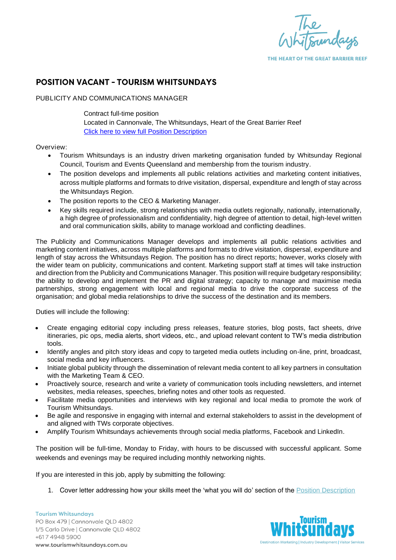

THE HEART OF THE GREAT BARRIER REEF

## **POSITION VACANT - TOURISM WHITSUNDAYS**

## PUBLICITY AND COMMUNICATIONS MANAGER

Contract full-time position Located in Cannonvale, The Whitsundays, Heart of the Great Barrier Reef [Click here to view full Position Description](https://www.tourismwhitsundays.com.au/wp-content/uploads/2022/06/Publicity-and-Communications-Manager.pdf)

## Overview:

- Tourism Whitsundays is an industry driven marketing organisation funded by Whitsunday Regional Council, Tourism and Events Queensland and membership from the tourism industry.
- The position develops and implements all public relations activities and marketing content initiatives, across multiple platforms and formats to drive visitation, dispersal, expenditure and length of stay across the Whitsundays Region.
- The position reports to the CEO & Marketing Manager.
- Key skills required include, strong relationships with media outlets regionally, nationally, internationally, a high degree of professionalism and confidentiality, high degree of attention to detail, high-level written and oral communication skills, ability to manage workload and conflicting deadlines.

The Publicity and Communications Manager develops and implements all public relations activities and marketing content initiatives, across multiple platforms and formats to drive visitation, dispersal, expenditure and length of stay across the Whitsundays Region. The position has no direct reports; however, works closely with the wider team on publicity, communications and content. Marketing support staff at times will take instruction and direction from the Publicity and Communications Manager. This position will require budgetary responsibility; the ability to develop and implement the PR and digital strategy; capacity to manage and maximise media partnerships, strong engagement with local and regional media to drive the corporate success of the organisation; and global media relationships to drive the success of the destination and its members.

Duties will include the following:

- Create engaging editorial copy including press releases, feature stories, blog posts, fact sheets, drive itineraries, pic ops, media alerts, short videos, etc., and upload relevant content to TW's media distribution tools.
- Identify angles and pitch story ideas and copy to targeted media outlets including on-line, print, broadcast, social media and key influencers.
- Initiate global publicity through the dissemination of relevant media content to all key partners in consultation with the Marketing Team & CEO.
- Proactively source, research and write a variety of communication tools including newsletters, and internet websites, media releases, speeches, briefing notes and other tools as requested.
- Facilitate media opportunities and interviews with key regional and local media to promote the work of Tourism Whitsundays.
- Be agile and responsive in engaging with internal and external stakeholders to assist in the development of and aligned with TWs corporate objectives.
- Amplify Tourism Whitsundays achievements through social media platforms, Facebook and LinkedIn.

The position will be full-time, Monday to Friday, with hours to be discussed with successful applicant. Some weekends and evenings may be required including monthly networking nights.

If you are interested in this job, apply by submitting the following:

1. Cover letter addressing how your skills meet the 'what you will do' section of the [Position Description](https://tourismwhitsundays.sharepoint.com/:b:/g/ESbLCXVieyFGoG4x6xx6AVwBG3I3k5_2wB9trhrm5L1Q2g?e=Lyt41y)

**Tourism Whitsundays** PO Box 479 | Cannonvale OLD 4802 1/5 Carlo Drive | Cannonvale QLD 4802 +617 4948 5900 www.tourismwhitsundays.com.au